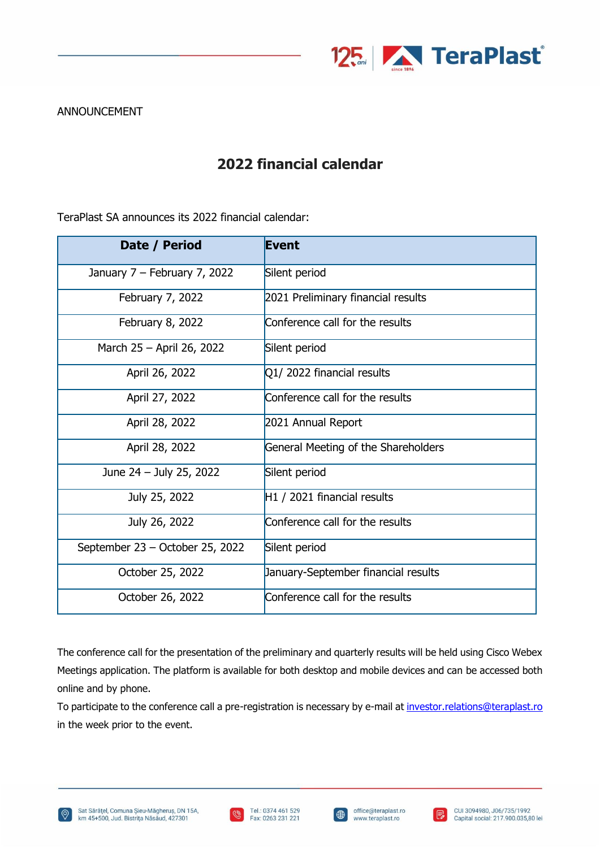

## ANNOUNCEMENT

## **2022 financial calendar**

TeraPlast SA announces its 2022 financial calendar:

| Date / Period                   | <b>Event</b>                        |
|---------------------------------|-------------------------------------|
| January 7 - February 7, 2022    | Silent period                       |
| February 7, 2022                | 2021 Preliminary financial results  |
| February 8, 2022                | Conference call for the results     |
| March 25 - April 26, 2022       | Silent period                       |
| April 26, 2022                  | Q1/2022 financial results           |
| April 27, 2022                  | Conference call for the results     |
| April 28, 2022                  | 2021 Annual Report                  |
| April 28, 2022                  | General Meeting of the Shareholders |
| June 24 - July 25, 2022         | Silent period                       |
| July 25, 2022                   | $H1/2021$ financial results         |
| July 26, 2022                   | Conference call for the results     |
| September 23 - October 25, 2022 | Silent period                       |
| October 25, 2022                | January-September financial results |
| October 26, 2022                | Conference call for the results     |

The conference call for the presentation of the preliminary and quarterly results will be held using Cisco Webex Meetings application. The platform is available for both desktop and mobile devices and can be accessed both online and by phone.

To participate to the conference call a pre-registration is necessary by e-mail a[t investor.relations@teraplast.ro](mailto:investor.relations@teraplast.ro) in the week prior to the event.